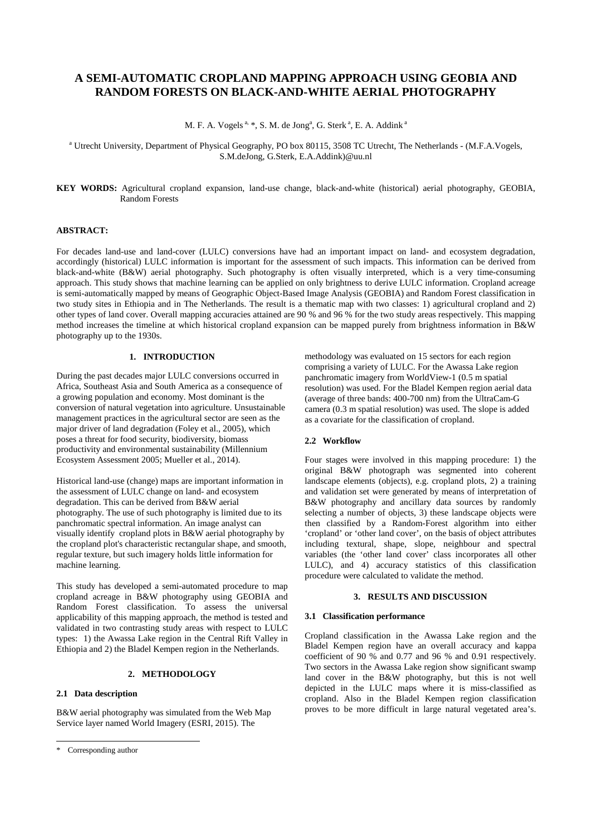# **A SEMI-AUTOMATIC CROPLAND MAPPING APPROACH USING GEOBIA AND RANDOM FORESTS ON BLACK-AND-WHITE AERIAL PHOTOGRAPHY**

M. F. A. Vogels<sup>a, \*</sup>, S. M. de Jong<sup>a</sup>, G. Sterk<sup>a</sup>, E. A. Addink<sup>a</sup>

<sup>a</sup> Utrecht University, Department of Physical Geography, PO box 80115, 3508 TC Utrecht, The Netherlands - (M.F.A.Vogels, S.M.deJong, G.Sterk, E.A.Addink)@uu.nl

**KEY WORDS:** Agricultural cropland expansion, land-use change, black-and-white (historical) aerial photography, GEOBIA, Random Forests

### **ABSTRACT:**

For decades land-use and land-cover (LULC) conversions have had an important impact on land- and ecosystem degradation, accordingly (historical) LULC information is important for the assessment of such impacts. This information can be derived from black-and-white (B&W) aerial photography. Such photography is often visually interpreted, which is a very time-consuming approach. This study shows that machine learning can be applied on only brightness to derive LULC information. Cropland acreage is semi-automatically mapped by means of Geographic Object-Based Image Analysis (GEOBIA) and Random Forest classification in two study sites in Ethiopia and in The Netherlands. The result is a thematic map with two classes: 1) agricultural cropland and 2) other types of land cover. Overall mapping accuracies attained are 90 % and 96 % for the two study areas respectively. This mapping method increases the timeline at which historical cropland expansion can be mapped purely from brightness information in B&W photography up to the 1930s.

## **1. INTRODUCTION**

During the past decades major LULC conversions occurred in Africa, Southeast Asia and South America as a consequence of a growing population and economy. Most dominant is the conversion of natural vegetation into agriculture. Unsustainable management practices in the agricultural sector are seen as the major driver of land degradation (Foley et al., 2005), which poses a threat for food security, biodiversity, biomass productivity and environmental sustainability (Millennium Ecosystem Assessment 2005; Mueller et al., 2014).

Historical land-use (change) maps are important information in the assessment of LULC change on land- and ecosystem degradation. This can be derived from B&W aerial photography. The use of such photography is limited due to its panchromatic spectral information. An image analyst can visually identify cropland plots in B&W aerial photography by the cropland plot's characteristic rectangular shape, and smooth, regular texture, but such imagery holds little information for machine learning.

This study has developed a semi-automated procedure to map cropland acreage in B&W photography using GEOBIA and Random Forest classification. To assess the universal applicability of this mapping approach, the method is tested and validated in two contrasting study areas with respect to LULC types: 1) the Awassa Lake region in the Central Rift Valley in Ethiopia and 2) the Bladel Kempen region in the Netherlands.

#### **2. METHODOLOGY**

#### **2.1 Data description**

B&W aerial photography was simulated from the Web Map Service layer named World Imagery (ESRI, 2015). The

j

methodology was evaluated on 15 sectors for each region comprising a variety of LULC. For the Awassa Lake region panchromatic imagery from WorldView-1 (0.5 m spatial resolution) was used. For the Bladel Kempen region aerial data (average of three bands: 400-700 nm) from the UltraCam-G camera (0.3 m spatial resolution) was used. The slope is added as a covariate for the classification of cropland.

## **2.2 Workflow**

Four stages were involved in this mapping procedure: 1) the original B&W photograph was segmented into coherent landscape elements (objects), e.g. cropland plots, 2) a training and validation set were generated by means of interpretation of B&W photography and ancillary data sources by randomly selecting a number of objects, 3) these landscape objects were then classified by a Random-Forest algorithm into either 'cropland' or 'other land cover', on the basis of object attributes including textural, shape, slope, neighbour and spectral variables (the 'other land cover' class incorporates all other LULC), and 4) accuracy statistics of this classification procedure were calculated to validate the method.

## **3. RESULTS AND DISCUSSION**

#### **3.1 Classification performance**

Cropland classification in the Awassa Lake region and the Bladel Kempen region have an overall accuracy and kappa coefficient of 90 % and 0.77 and 96 % and 0.91 respectively. Two sectors in the Awassa Lake region show significant swamp land cover in the B&W photography, but this is not well depicted in the LULC maps where it is miss-classified as cropland. Also in the Bladel Kempen region classification proves to be more difficult in large natural vegetated area's.

<span id="page-0-0"></span><sup>\*</sup> Corresponding author